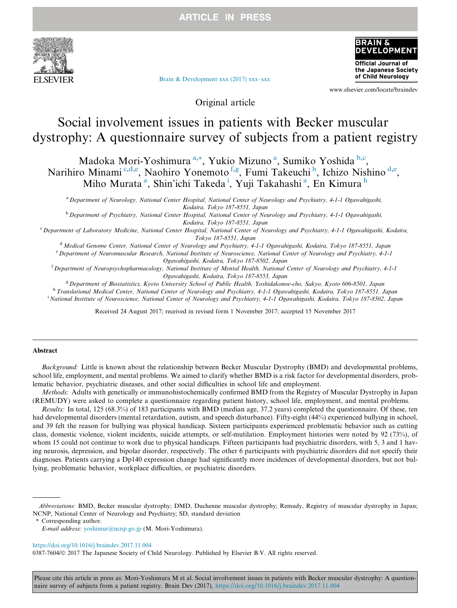**ARTICLE IN PRESS** 



[Brain & Development xxx \(2017\) xxx–xxx](https://doi.org/10.1016/j.braindev.2017.11.004)



www.elsevier.com/locate/braindev

Original article

# Social involvement issues in patients with Becker muscular dystrophy: A questionnaire survey of subjects from a patient registry

Madoka Mori-Yoshimura<sup>a,\*</sup>, Yukio Mizuno<sup>a</sup>, Sumiko Yoshida<sup>b,c</sup>, Narihiro Minami<sup>c,d,e</sup>, Naohiro Yonemoto<sup>f,g</sup>, Fumi Takeuchi<sup>h</sup>, Ichizo Nishino<sup>d,e</sup>, Miho Murata<sup>a</sup>, Shin'ichi Takeda<sup>i</sup>, Yuji Takahashi<sup>a</sup>, En Kimura<sup>h</sup>

<sup>a</sup> Department of Neurology, National Center Hospital, National Center of Neurology and Psychiatry, 4-1-1 Ogawahigashi, Kodaira, Tokyo 187-8551, Japan

<sup>b</sup> Department of Psychiatry, National Center Hospital, National Center of Neurology and Psychiatry, 4-1-1 Ogawahigashi, Kodaira, Tokyo 187-8551, Japan

<sup>c</sup> Department of Laboratory Medicine, National Center Hospital, National Center of Neurology and Psychiatry, 4-1-1 Ogawahigashi, Kodaira, Tokyo 187-8551, Japan

 $d$  Medical Genome Center, National Center of Neurology and Psychiatry, 4-1-1 Ogawahigashi, Kodaira, Tokyo 187-8551, Japan

e Department of Neuromuscular Research, National Institute of Neuroscience, National Center of Neurology and Psychiatry, 4-1-1 Ogawahigashi, Kodaira, Tokyo 187-8502, Japan

<sup>f</sup> Department of Neuropsychopharmacology, National Institute of Mental Health, National Center of Neurology and Psychiatry, 4-1-1 Ogawahigashi, Kodaira, Tokyo 187-8553, Japan

<sup>g</sup> Department of Biostatistics, Kyoto University School of Public Health, Yoshidakonoe-cho, Sakyo, Kyoto 606-8501, Japan h Translational Medical Center, National Center of Neurology and Psychiatry, 4-1-1 Ogawahigashi, Kodaira, Tokyo 187-8551, Japan <sup>i</sup> National Institute of Neuroscience, National Center of Neurology and Psychiatry, 4-1-1 Ogawahigashi, Kodaira, Tokyo 187-8502, Japan

Received 24 August 2017; received in revised form 1 November 2017; accepted 15 November 2017

#### Abstract

Background: Little is known about the relationship between Becker Muscular Dystrophy (BMD) and developmental problems, school life, employment, and mental problems. We aimed to clarify whether BMD is a risk factor for developmental disorders, problematic behavior, psychiatric diseases, and other social difficulties in school life and employment.

Methods: Adults with genetically or immunohistochemically confirmed BMD from the Registry of Muscular Dystrophy in Japan (REMUDY) were asked to complete a questionnaire regarding patient history, school life, employment, and mental problems.

Results: In total, 125 (68.3%) of 183 participants with BMD (median age, 37.2 years) completed the questionnaire. Of these, ten had developmental disorders (mental retardation, autism, and speech disturbance). Fifty-eight (44%) experienced bullying in school, and 39 felt the reason for bullying was physical handicap. Sixteen participants experienced problematic behavior such as cutting class, domestic violence, violent incidents, suicide attempts, or self-mutilation. Employment histories were noted by 92 (73%), of whom 15 could not continue to work due to physical handicaps. Fifteen participants had psychiatric disorders, with 5, 3 and 1 having neurosis, depression, and bipolar disorder, respectively. The other 6 participants with psychiatric disorders did not specify their diagnoses. Patients carrying a Dp140 expression change had significantly more incidences of developmental disorders, but not bullying, problematic behavior, workplace difficulties, or psychiatric disorders.

Corresponding author.

<https://doi.org/10.1016/j.braindev.2017.11.004>

Please cite this article in press as: Mori-Yoshimura M et al. Social involvement issues in patients with Becker muscular dystrophy: A questionnaire survey of subjects from a patient registry. Brain Dev (2017), <https://doi.org/10.1016/j.braindev.2017.11.004>

Abbreviations: BMD, Becker muscular dystrophy; DMD, Duchenne muscular dystrophy; Remudy, Registry of muscular dystrophy in Japan; NCNP, National Center of Neurology and Psychiatry; SD, standard deviation

E-mail address: [yoshimur@ncnp.go.jp](mailto:yoshimur@ncnp.go.jp) (M. Mori-Yoshimura).

<sup>0387-7604/© 2017</sup> The Japanese Society of Child Neurology. Published by Elsevier B.V. All rights reserved.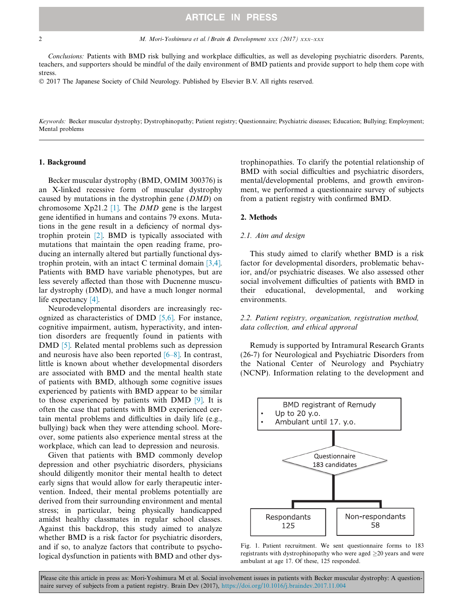2 M. Mori-Yoshimura et al. / Brain & Development xxx (2017) xxx–xxx

Conclusions: Patients with BMD risk bullying and workplace difficulties, as well as developing psychiatric disorders. Parents, teachers, and supporters should be mindful of the daily environment of BMD patients and provide support to help them cope with stress.

2017 The Japanese Society of Child Neurology. Published by Elsevier B.V. All rights reserved.

Keywords: Becker muscular dystrophy; Dystrophinopathy; Patient registry; Questionnaire; Psychiatric diseases; Education; Bullying; Employment; Mental problems

#### 1. Background

Becker muscular dystrophy (BMD, OMIM 300376) is an X-linked recessive form of muscular dystrophy caused by mutations in the dystrophin gene  $(DMD)$  on chromosome  $Xp21.2$  [1]. The *DMD* gene is the largest gene identified in humans and contains 79 exons. Mutations in the gene result in a deficiency of normal dystrophin protein [2]. BMD is typically associated with mutations that maintain the open reading frame, producing an internally altered but partially functional dystrophin protein, with an intact C terminal domain [3,4]. Patients with BMD have variable phenotypes, but are less severely affected than those with Ducnenne muscular dystrophy (DMD), and have a much longer normal life expectancy [4].

Neurodevelopmental disorders are increasingly recognized as characteristics of DMD [5,6]. For instance, cognitive impairment, autism, hyperactivity, and intention disorders are frequently found in patients with DMD [5]. Related mental problems such as depression and neurosis have also been reported [6–8]. In contrast, little is known about whether developmental disorders are associated with BMD and the mental health state of patients with BMD, although some cognitive issues experienced by patients with BMD appear to be similar to those experienced by patients with DMD [9]. It is often the case that patients with BMD experienced certain mental problems and difficulties in daily life (e.g., bullying) back when they were attending school. Moreover, some patients also experience mental stress at the workplace, which can lead to depression and neurosis.

Given that patients with BMD commonly develop depression and other psychiatric disorders, physicians should diligently monitor their mental health to detect early signs that would allow for early therapeutic intervention. Indeed, their mental problems potentially are derived from their surrounding environment and mental stress; in particular, being physically handicapped amidst healthy classmates in regular school classes. Against this backdrop, this study aimed to analyze whether BMD is a risk factor for psychiatric disorders, and if so, to analyze factors that contribute to psychological dysfunction in patients with BMD and other dystrophinopathies. To clarify the potential relationship of BMD with social difficulties and psychiatric disorders, mental/developmental problems, and growth environment, we performed a questionnaire survey of subjects from a patient registry with confirmed BMD.

#### 2. Methods

#### 2.1. Aim and design

This study aimed to clarify whether BMD is a risk factor for developmental disorders, problematic behavior, and/or psychiatric diseases. We also assessed other social involvement difficulties of patients with BMD in their educational, developmental, and working environments.

### 2.2. Patient registry, organization, registration method, data collection, and ethical approval

Remudy is supported by Intramural Research Grants (26-7) for Neurological and Psychiatric Disorders from the National Center of Neurology and Psychiatry (NCNP). Information relating to the development and



Fig. 1. Patient recruitment. We sent questionnaire forms to 183 registrants with dystrophinopathy who were aged  $\geq$ 20 years and were ambulant at age 17. Of these, 125 responded.

Please cite this article in press as: Mori-Yoshimura M et al. Social involvement issues in patients with Becker muscular dystrophy: A questionnaire survey of subjects from a patient registry. Brain Dev (2017), <https://doi.org/10.1016/j.braindev.2017.11.004>